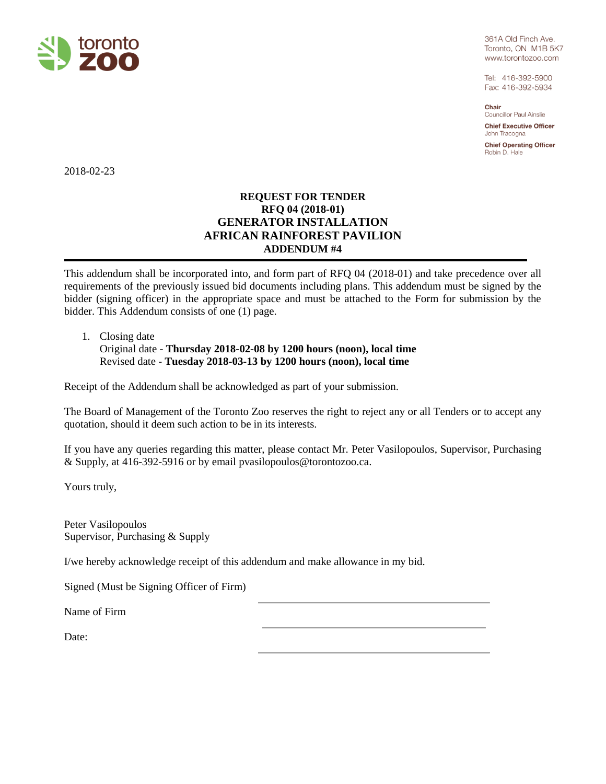

361A Old Finch Ave. Toronto, ON M1B 5K7 www.torontozoo.com

Tel: 416-392-5900 Fax: 416-392-5934

Chair Councillor Paul Ainslie

**Chief Executive Officer** John Tracogna

**Chief Operating Officer** Robin D. Hale

2018-02-23

## **REQUEST FOR TENDER RFQ 04 (2018-01) GENERATOR INSTALLATION AFRICAN RAINFOREST PAVILION ADDENDUM #4**

This addendum shall be incorporated into, and form part of RFQ 04 (2018-01) and take precedence over all requirements of the previously issued bid documents including plans. This addendum must be signed by the bidder (signing officer) in the appropriate space and must be attached to the Form for submission by the bidder. This Addendum consists of one (1) page.

1. Closing date

Original date - **Thursday 2018-02-08 by 1200 hours (noon), local time** Revised date - **Tuesday 2018-03-13 by 1200 hours (noon), local time**

Receipt of the Addendum shall be acknowledged as part of your submission.

The Board of Management of the Toronto Zoo reserves the right to reject any or all Tenders or to accept any quotation, should it deem such action to be in its interests.

If you have any queries regarding this matter, please contact Mr. Peter Vasilopoulos, Supervisor, Purchasing & Supply, at 416-392-5916 or by email pvasilopoulos@torontozoo.ca.

Yours truly,

Peter Vasilopoulos Supervisor, Purchasing & Supply

I/we hereby acknowledge receipt of this addendum and make allowance in my bid.

Signed (Must be Signing Officer of Firm)

Name of Firm

Date: